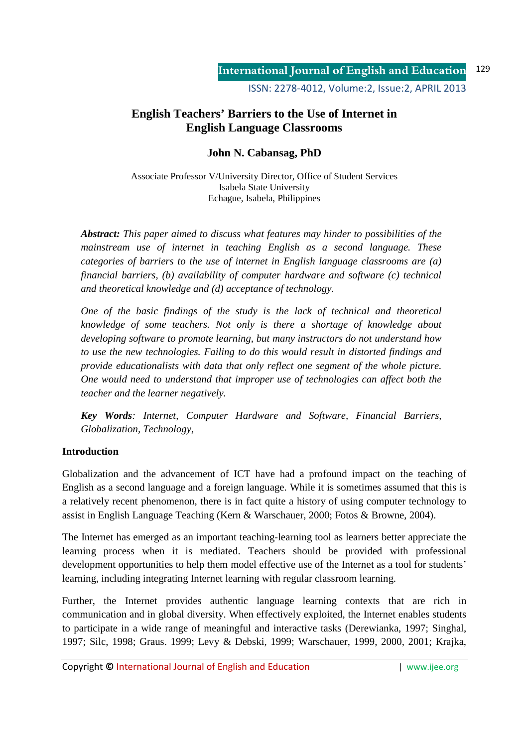ISSN: 2278-4012, Volume:2, Issue:2, APRIL 2013

# **English Teachers' Barriers to the Use of Internet in English Language Classrooms**

## **John N. Cabansag, PhD**

Associate Professor V/University Director, Office of Student Services Isabela State University Echague, Isabela, Philippines

*Abstract: This paper aimed to discuss what features may hinder to possibilities of the mainstream use of internet in teaching English as a second language. These categories of barriers to the use of internet in English language classrooms are (a) financial barriers, (b) availability of computer hardware and software (c) technical and theoretical knowledge and (d) acceptance of technology.* 

*One of the basic findings of the study is the lack of technical and theoretical knowledge of some teachers. Not only is there a shortage of knowledge about developing software to promote learning, but many instructors do not understand how to use the new technologies. Failing to do this would result in distorted findings and provide educationalists with data that only reflect one segment of the whole picture. One would need to understand that improper use of technologies can affect both the teacher and the learner negatively.* 

*Key Words: Internet, Computer Hardware and Software, Financial Barriers, Globalization, Technology*,

### **Introduction**

Globalization and the advancement of ICT have had a profound impact on the teaching of English as a second language and a foreign language. While it is sometimes assumed that this is a relatively recent phenomenon, there is in fact quite a history of using computer technology to assist in English Language Teaching (Kern & Warschauer, 2000; Fotos & Browne, 2004).

The Internet has emerged as an important teaching-learning tool as learners better appreciate the learning process when it is mediated. Teachers should be provided with professional development opportunities to help them model effective use of the Internet as a tool for students' learning, including integrating Internet learning with regular classroom learning.

Further, the Internet provides authentic language learning contexts that are rich in communication and in global diversity. When effectively exploited, the Internet enables students to participate in a wide range of meaningful and interactive tasks (Derewianka, 1997; Singhal, 1997; Silc, 1998; Graus. 1999; Levy & Debski, 1999; Warschauer, 1999, 2000, 2001; Krajka,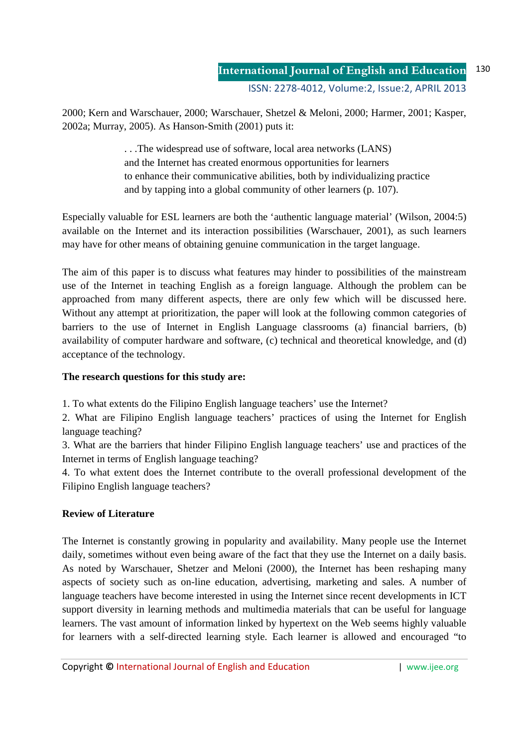2000; Kern and Warschauer, 2000; Warschauer, Shetzel & Meloni, 2000; Harmer, 2001; Kasper, 2002a; Murray, 2005). As Hanson-Smith (2001) puts it:

> . . .The widespread use of software, local area networks (LANS) and the Internet has created enormous opportunities for learners to enhance their communicative abilities, both by individualizing practice and by tapping into a global community of other learners (p. 107).

Especially valuable for ESL learners are both the 'authentic language material' (Wilson, 2004:5) available on the Internet and its interaction possibilities (Warschauer, 2001), as such learners may have for other means of obtaining genuine communication in the target language.

The aim of this paper is to discuss what features may hinder to possibilities of the mainstream use of the Internet in teaching English as a foreign language. Although the problem can be approached from many different aspects, there are only few which will be discussed here. Without any attempt at prioritization, the paper will look at the following common categories of barriers to the use of Internet in English Language classrooms (a) financial barriers, (b) availability of computer hardware and software, (c) technical and theoretical knowledge, and (d) acceptance of the technology.

## **The research questions for this study are:**

1. To what extents do the Filipino English language teachers' use the Internet?

2. What are Filipino English language teachers' practices of using the Internet for English language teaching?

3. What are the barriers that hinder Filipino English language teachers' use and practices of the Internet in terms of English language teaching?

4. To what extent does the Internet contribute to the overall professional development of the Filipino English language teachers?

# **Review of Literature**

The Internet is constantly growing in popularity and availability. Many people use the Internet daily, sometimes without even being aware of the fact that they use the Internet on a daily basis. As noted by Warschauer, Shetzer and Meloni (2000), the Internet has been reshaping many aspects of society such as on-line education, advertising, marketing and sales. A number of language teachers have become interested in using the Internet since recent developments in ICT support diversity in learning methods and multimedia materials that can be useful for language learners. The vast amount of information linked by hypertext on the Web seems highly valuable for learners with a self-directed learning style. Each learner is allowed and encouraged "to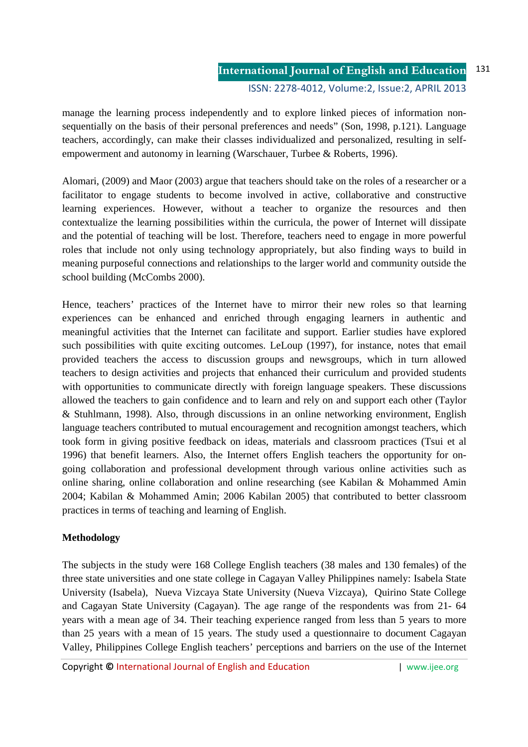### **International Journal of English and Education** ISSN: 2278-4012, Volume:2, Issue:2, APRIL 2013 131

manage the learning process independently and to explore linked pieces of information nonsequentially on the basis of their personal preferences and needs" (Son, 1998, p.121). Language teachers, accordingly, can make their classes individualized and personalized, resulting in selfempowerment and autonomy in learning (Warschauer, Turbee & Roberts, 1996).

Alomari, (2009) and Maor (2003) argue that teachers should take on the roles of a researcher or a facilitator to engage students to become involved in active, collaborative and constructive learning experiences. However, without a teacher to organize the resources and then contextualize the learning possibilities within the curricula, the power of Internet will dissipate and the potential of teaching will be lost. Therefore, teachers need to engage in more powerful roles that include not only using technology appropriately, but also finding ways to build in meaning purposeful connections and relationships to the larger world and community outside the school building (McCombs 2000).

Hence, teachers' practices of the Internet have to mirror their new roles so that learning experiences can be enhanced and enriched through engaging learners in authentic and meaningful activities that the Internet can facilitate and support. Earlier studies have explored such possibilities with quite exciting outcomes. LeLoup (1997), for instance, notes that email provided teachers the access to discussion groups and newsgroups, which in turn allowed teachers to design activities and projects that enhanced their curriculum and provided students with opportunities to communicate directly with foreign language speakers. These discussions allowed the teachers to gain confidence and to learn and rely on and support each other (Taylor & Stuhlmann, 1998). Also, through discussions in an online networking environment, English language teachers contributed to mutual encouragement and recognition amongst teachers, which took form in giving positive feedback on ideas, materials and classroom practices (Tsui et al 1996) that benefit learners. Also, the Internet offers English teachers the opportunity for ongoing collaboration and professional development through various online activities such as online sharing, online collaboration and online researching (see Kabilan & Mohammed Amin 2004; Kabilan & Mohammed Amin; 2006 Kabilan 2005) that contributed to better classroom practices in terms of teaching and learning of English.

### **Methodology**

The subjects in the study were 168 College English teachers (38 males and 130 females) of the three state universities and one state college in Cagayan Valley Philippines namely: Isabela State University (Isabela), Nueva Vizcaya State University (Nueva Vizcaya), Quirino State College and Cagayan State University (Cagayan). The age range of the respondents was from 21- 64 years with a mean age of 34. Their teaching experience ranged from less than 5 years to more than 25 years with a mean of 15 years. The study used a questionnaire to document Cagayan Valley, Philippines College English teachers' perceptions and barriers on the use of the Internet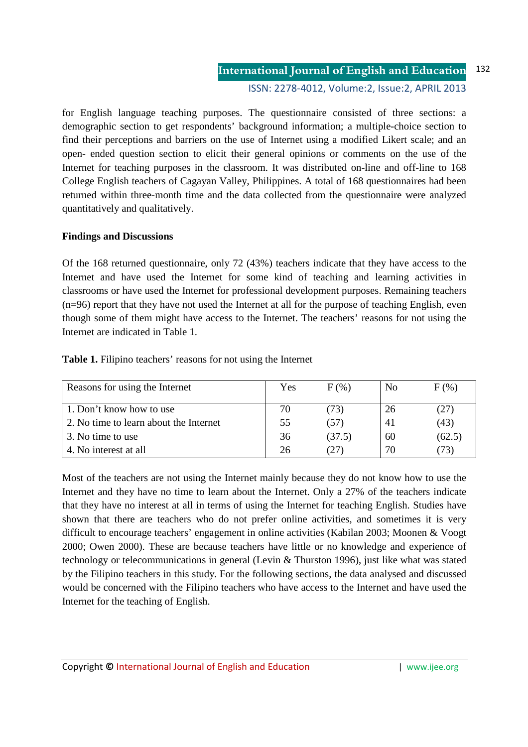### **International Journal of English and Education** ISSN: 2278-4012, Volume:2, Issue:2, APRIL 2013 132

for English language teaching purposes. The questionnaire consisted of three sections: a demographic section to get respondents' background information; a multiple-choice section to find their perceptions and barriers on the use of Internet using a modified Likert scale; and an open- ended question section to elicit their general opinions or comments on the use of the Internet for teaching purposes in the classroom. It was distributed on-line and off-line to 168 College English teachers of Cagayan Valley, Philippines. A total of 168 questionnaires had been returned within three-month time and the data collected from the questionnaire were analyzed quantitatively and qualitatively.

### **Findings and Discussions**

Of the 168 returned questionnaire, only 72 (43%) teachers indicate that they have access to the Internet and have used the Internet for some kind of teaching and learning activities in classrooms or have used the Internet for professional development purposes. Remaining teachers (n=96) report that they have not used the Internet at all for the purpose of teaching English, even though some of them might have access to the Internet. The teachers' reasons for not using the Internet are indicated in Table 1.

| Reasons for using the Internet         | Yes | F(% )  | No | $F(\%)$ |
|----------------------------------------|-----|--------|----|---------|
| 1. Don't know how to use               | 70  | (73)   | 26 | (27)    |
| 2. No time to learn about the Internet | 55  | (57)   | 41 | (43)    |
| 3. No time to use                      | 36  | (37.5) | 60 | (62.5)  |
| 4. No interest at all                  | 26  | (27)   | 70 | 73)     |

**Table 1.** Filipino teachers' reasons for not using the Internet

Most of the teachers are not using the Internet mainly because they do not know how to use the Internet and they have no time to learn about the Internet. Only a 27% of the teachers indicate that they have no interest at all in terms of using the Internet for teaching English. Studies have shown that there are teachers who do not prefer online activities, and sometimes it is very difficult to encourage teachers' engagement in online activities (Kabilan 2003; Moonen & Voogt 2000; Owen 2000). These are because teachers have little or no knowledge and experience of technology or telecommunications in general (Levin & Thurston 1996), just like what was stated by the Filipino teachers in this study. For the following sections, the data analysed and discussed would be concerned with the Filipino teachers who have access to the Internet and have used the Internet for the teaching of English.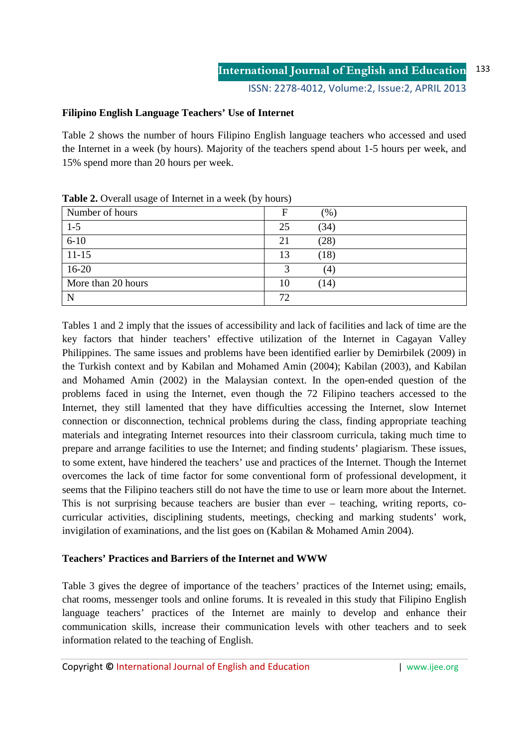## **Filipino English Language Teachers' Use of Internet**

Table 2 shows the number of hours Filipino English language teachers who accessed and used the Internet in a week (by hours). Majority of the teachers spend about 1-5 hours per week, and 15% spend more than 20 hours per week.

| 1.21               |    |      |  |
|--------------------|----|------|--|
| Number of hours    | F  | (96) |  |
| $1-5$              | 25 | (34) |  |
| $6 - 10$           | 21 | (28) |  |
| $11 - 15$          | 13 | (18) |  |
| $16-20$            |    | (4)  |  |
| More than 20 hours | 10 | (14) |  |
| N                  | 72 |      |  |

**Table 2.** Overall usage of Internet in a week (by hours)

Tables 1 and 2 imply that the issues of accessibility and lack of facilities and lack of time are the key factors that hinder teachers' effective utilization of the Internet in Cagayan Valley Philippines. The same issues and problems have been identified earlier by Demirbilek (2009) in the Turkish context and by Kabilan and Mohamed Amin (2004); Kabilan (2003), and Kabilan and Mohamed Amin (2002) in the Malaysian context. In the open-ended question of the problems faced in using the Internet, even though the 72 Filipino teachers accessed to the Internet, they still lamented that they have difficulties accessing the Internet, slow Internet connection or disconnection, technical problems during the class, finding appropriate teaching materials and integrating Internet resources into their classroom curricula, taking much time to prepare and arrange facilities to use the Internet; and finding students' plagiarism. These issues, to some extent, have hindered the teachers' use and practices of the Internet. Though the Internet overcomes the lack of time factor for some conventional form of professional development, it seems that the Filipino teachers still do not have the time to use or learn more about the Internet. This is not surprising because teachers are busier than ever – teaching, writing reports, cocurricular activities, disciplining students, meetings, checking and marking students' work, invigilation of examinations, and the list goes on (Kabilan & Mohamed Amin 2004).

### **Teachers' Practices and Barriers of the Internet and WWW**

Table 3 gives the degree of importance of the teachers' practices of the Internet using; emails, chat rooms, messenger tools and online forums. It is revealed in this study that Filipino English language teachers' practices of the Internet are mainly to develop and enhance their communication skills, increase their communication levels with other teachers and to seek information related to the teaching of English.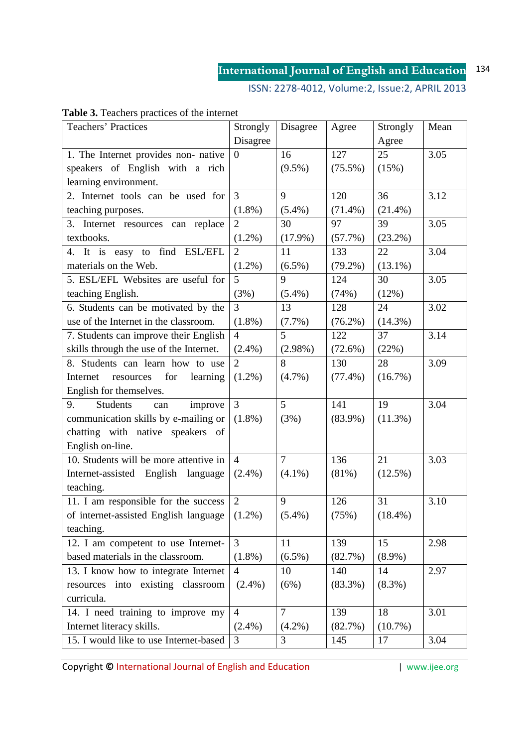ISSN: 2278-4012, Volume:2, Issue:2, APRIL 2013

| Teachers' Practices                             | Strongly         | Disagree       | Agree      | Strongly   | Mean |
|-------------------------------------------------|------------------|----------------|------------|------------|------|
|                                                 | Disagree         |                |            | Agree      |      |
| 1. The Internet provides non- native            | $\boldsymbol{0}$ | 16             | 127        | 25         | 3.05 |
| speakers of English with a rich                 |                  | $(9.5\%)$      | $(75.5\%)$ | (15%)      |      |
| learning environment.                           |                  |                |            |            |      |
| 2. Internet tools can be used for               | $\overline{3}$   | 9              | 120        | 36         | 3.12 |
| teaching purposes.                              | $(1.8\%)$        | $(5.4\%)$      | $(71.4\%)$ | $(21.4\%)$ |      |
| 3. Internet resources can replace               | $\overline{2}$   | 30             | 97         | 39         | 3.05 |
| textbooks.                                      | $(1.2\%)$        | $(17.9\%)$     | (57.7%)    | $(23.2\%)$ |      |
| 4. It is easy to find ESL/EFL                   | $\overline{2}$   | 11             | 133        | 22         | 3.04 |
| materials on the Web.                           | $(1.2\%)$        | $(6.5\%)$      | $(79.2\%)$ | $(13.1\%)$ |      |
| 5. ESL/EFL Websites are useful for              | 5                | 9              | 124        | 30         | 3.05 |
| teaching English.                               | (3%)             | $(5.4\%)$      | (74%)      | (12%)      |      |
| 6. Students can be motivated by the             | 3                | 13             | 128        | 24         | 3.02 |
| use of the Internet in the classroom.           | $(1.8\%)$        | (7.7%)         | $(76.2\%)$ | $(14.3\%)$ |      |
| 7. Students can improve their English           | $\overline{4}$   | 5              | 122        | 37         | 3.14 |
| skills through the use of the Internet.         | $(2.4\%)$        | $(2.98\%)$     | (72.6%)    | (22%)      |      |
| 8. Students can learn how to use                | $\overline{2}$   | 8              | 130        | 28         | 3.09 |
| for<br>Internet<br>learning<br>resources        | $(1.2\%)$        | (4.7%)         | $(77.4\%)$ | $(16.7\%)$ |      |
| English for themselves.                         |                  |                |            |            |      |
| 9.<br><b>Students</b><br>improve<br>can         | $\overline{3}$   | 5 <sup>5</sup> | 141        | 19         | 3.04 |
| communication skills by e-mailing or            | $(1.8\%)$        | (3%)           | $(83.9\%)$ | $(11.3\%)$ |      |
| chatting with native speakers of                |                  |                |            |            |      |
| English on-line.                                |                  |                |            |            |      |
| 10. Students will be more attentive in          | $\overline{4}$   | $\overline{7}$ | 136        | 21         | 3.03 |
| Internet-assisted English language              | $(2.4\%)$        | $(4.1\%)$      | $(81\%)$   | $(12.5\%)$ |      |
| teaching.                                       |                  |                |            |            |      |
| 11. I am responsible for the success            | $\overline{2}$   | 9              | 126        | 31         | 3.10 |
| of internet-assisted English language $(1.2\%)$ |                  | $(5.4\%)$      | (75%)      | $(18.4\%)$ |      |
| teaching.                                       |                  |                |            |            |      |
| 12. I am competent to use Internet-             | $\overline{3}$   | 11             | 139        | 15         | 2.98 |
| based materials in the classroom.               | $(1.8\%)$        | $(6.5\%)$      | (82.7%)    | $(8.9\%)$  |      |
| 13. I know how to integrate Internet            | $\overline{4}$   | 10             | 140        | 14         | 2.97 |
| resources into existing classroom               | $(2.4\%)$        | (6%)           | $(83.3\%)$ | $(8.3\%)$  |      |
| curricula.                                      |                  |                |            |            |      |
| 14. I need training to improve my               | $\overline{4}$   | $\overline{7}$ | 139        | 18         | 3.01 |
| Internet literacy skills.                       | $(2.4\%)$        | $(4.2\%)$      | (82.7%)    | $(10.7\%)$ |      |
| 15. I would like to use Internet-based          | 3                | 3              | 145        | 17         | 3.04 |

# **Table 3.** Teachers practices of the internet

**Copyright © International Journal of English and Education | www.ijee.org**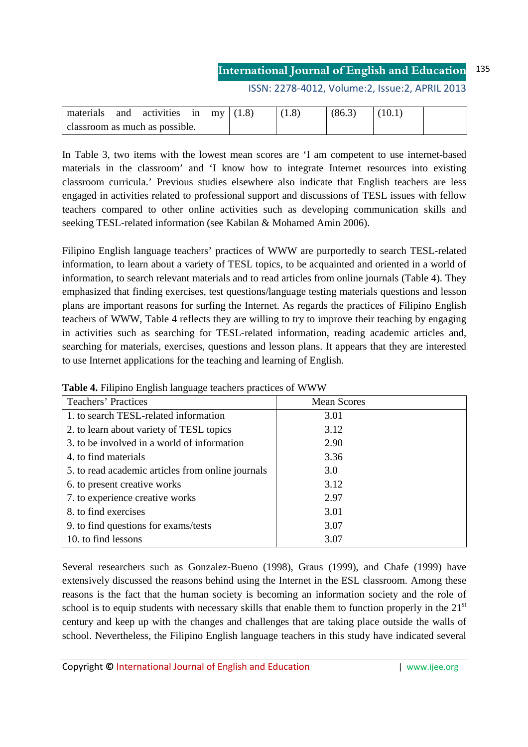ISSN: 2278-4012, Volume:2, Issue:2, APRIL 2013

| materials and activities in my $(1.8)$ |  |  | (1.8) | (86.3) | (10.1) |  |
|----------------------------------------|--|--|-------|--------|--------|--|
| classroom as much as possible.         |  |  |       |        |        |  |

In Table 3, two items with the lowest mean scores are 'I am competent to use internet-based materials in the classroom' and 'I know how to integrate Internet resources into existing classroom curricula.' Previous studies elsewhere also indicate that English teachers are less engaged in activities related to professional support and discussions of TESL issues with fellow teachers compared to other online activities such as developing communication skills and seeking TESL-related information (see Kabilan & Mohamed Amin 2006).

Filipino English language teachers' practices of WWW are purportedly to search TESL-related information, to learn about a variety of TESL topics, to be acquainted and oriented in a world of information, to search relevant materials and to read articles from online journals (Table 4). They emphasized that finding exercises, test questions/language testing materials questions and lesson plans are important reasons for surfing the Internet. As regards the practices of Filipino English teachers of WWW, Table 4 reflects they are willing to try to improve their teaching by engaging in activities such as searching for TESL-related information, reading academic articles and, searching for materials, exercises, questions and lesson plans. It appears that they are interested to use Internet applications for the teaching and learning of English.

| <b>Teachers' Practices</b>                        | <b>Mean Scores</b> |
|---------------------------------------------------|--------------------|
| 1. to search TESL-related information             | 3.01               |
| 2. to learn about variety of TESL topics          | 3.12               |
| 3. to be involved in a world of information       | 2.90               |
| 4. to find materials                              | 3.36               |
| 5. to read academic articles from online journals | 3.0                |
| 6. to present creative works                      | 3.12               |
| 7. to experience creative works                   | 2.97               |
| 8. to find exercises                              | 3.01               |
| 9. to find questions for exams/tests              | 3.07               |
| 10. to find lessons                               | 3.07               |

|  |  |  | Table 4. Filipino English language teachers practices of WWW |
|--|--|--|--------------------------------------------------------------|
|  |  |  |                                                              |

Several researchers such as Gonzalez-Bueno (1998), Graus (1999), and Chafe (1999) have extensively discussed the reasons behind using the Internet in the ESL classroom. Among these reasons is the fact that the human society is becoming an information society and the role of school is to equip students with necessary skills that enable them to function properly in the  $21<sup>st</sup>$ century and keep up with the changes and challenges that are taking place outside the walls of school. Nevertheless, the Filipino English language teachers in this study have indicated several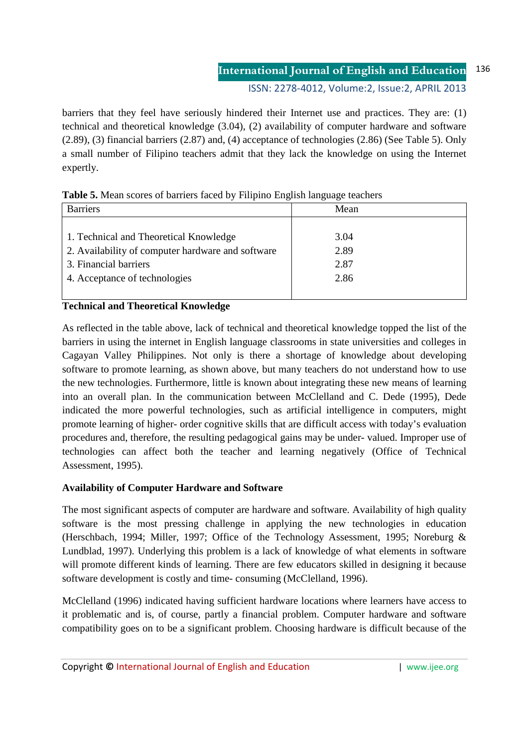ISSN: 2278-4012, Volume:2, Issue:2, APRIL 2013

barriers that they feel have seriously hindered their Internet use and practices. They are: (1) technical and theoretical knowledge (3.04), (2) availability of computer hardware and software (2.89), (3) financial barriers (2.87) and, (4) acceptance of technologies (2.86) (See Table 5). Only a small number of Filipino teachers admit that they lack the knowledge on using the Internet expertly.

| <b>Table 5.</b> Micali Scores of barriers faced by Filiphio Eliginsi language icachers |      |  |  |  |
|----------------------------------------------------------------------------------------|------|--|--|--|
| <b>Barriers</b>                                                                        | Mean |  |  |  |
|                                                                                        |      |  |  |  |
| 1. Technical and Theoretical Knowledge                                                 | 3.04 |  |  |  |
| 2. Availability of computer hardware and software                                      | 2.89 |  |  |  |
| 3. Financial barriers                                                                  | 2.87 |  |  |  |
| 4. Acceptance of technologies                                                          | 2.86 |  |  |  |
|                                                                                        |      |  |  |  |

| Table 5. Mean scores of barriers faced by Filipino English language teachers |  |  |  |
|------------------------------------------------------------------------------|--|--|--|
|------------------------------------------------------------------------------|--|--|--|

### **Technical and Theoretical Knowledge**

As reflected in the table above, lack of technical and theoretical knowledge topped the list of the barriers in using the internet in English language classrooms in state universities and colleges in Cagayan Valley Philippines. Not only is there a shortage of knowledge about developing software to promote learning, as shown above, but many teachers do not understand how to use the new technologies. Furthermore, little is known about integrating these new means of learning into an overall plan. In the communication between McClelland and C. Dede (1995), Dede indicated the more powerful technologies, such as artificial intelligence in computers, might promote learning of higher- order cognitive skills that are difficult access with today's evaluation procedures and, therefore, the resulting pedagogical gains may be under- valued. Improper use of technologies can affect both the teacher and learning negatively (Office of Technical Assessment, 1995).

### **Availability of Computer Hardware and Software**

The most significant aspects of computer are hardware and software. Availability of high quality software is the most pressing challenge in applying the new technologies in education (Herschbach, 1994; Miller, 1997; Office of the Technology Assessment, 1995; Noreburg & Lundblad, 1997). Underlying this problem is a lack of knowledge of what elements in software will promote different kinds of learning. There are few educators skilled in designing it because software development is costly and time- consuming (McClelland, 1996).

McClelland (1996) indicated having sufficient hardware locations where learners have access to it problematic and is, of course, partly a financial problem. Computer hardware and software compatibility goes on to be a significant problem. Choosing hardware is difficult because of the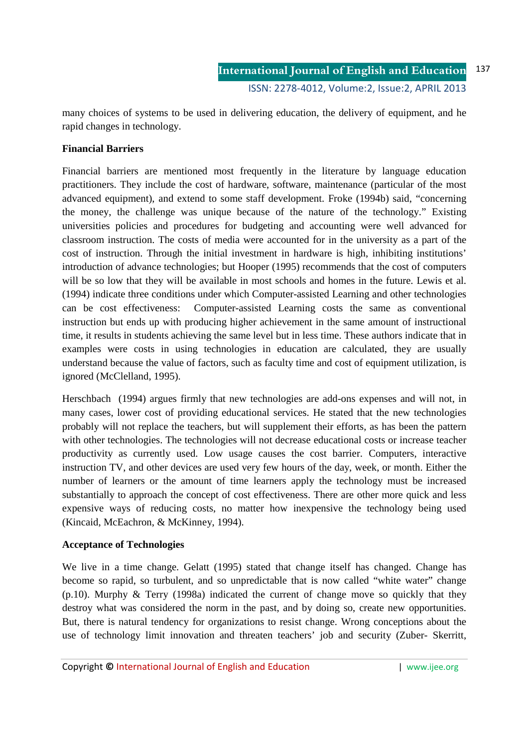many choices of systems to be used in delivering education, the delivery of equipment, and he rapid changes in technology.

## **Financial Barriers**

Financial barriers are mentioned most frequently in the literature by language education practitioners. They include the cost of hardware, software, maintenance (particular of the most advanced equipment), and extend to some staff development. Froke (1994b) said, "concerning the money, the challenge was unique because of the nature of the technology." Existing universities policies and procedures for budgeting and accounting were well advanced for classroom instruction. The costs of media were accounted for in the university as a part of the cost of instruction. Through the initial investment in hardware is high, inhibiting institutions' introduction of advance technologies; but Hooper (1995) recommends that the cost of computers will be so low that they will be available in most schools and homes in the future. Lewis et al. (1994) indicate three conditions under which Computer-assisted Learning and other technologies can be cost effectiveness: Computer-assisted Learning costs the same as conventional instruction but ends up with producing higher achievement in the same amount of instructional time, it results in students achieving the same level but in less time. These authors indicate that in examples were costs in using technologies in education are calculated, they are usually understand because the value of factors, such as faculty time and cost of equipment utilization, is ignored (McClelland, 1995).

Herschbach (1994) argues firmly that new technologies are add-ons expenses and will not, in many cases, lower cost of providing educational services. He stated that the new technologies probably will not replace the teachers, but will supplement their efforts, as has been the pattern with other technologies. The technologies will not decrease educational costs or increase teacher productivity as currently used. Low usage causes the cost barrier. Computers, interactive instruction TV, and other devices are used very few hours of the day, week, or month. Either the number of learners or the amount of time learners apply the technology must be increased substantially to approach the concept of cost effectiveness. There are other more quick and less expensive ways of reducing costs, no matter how inexpensive the technology being used (Kincaid, McEachron, & McKinney, 1994).

### **Acceptance of Technologies**

We live in a time change. Gelatt (1995) stated that change itself has changed. Change has become so rapid, so turbulent, and so unpredictable that is now called "white water" change  $(p.10)$ . Murphy & Terry (1998a) indicated the current of change move so quickly that they destroy what was considered the norm in the past, and by doing so, create new opportunities. But, there is natural tendency for organizations to resist change. Wrong conceptions about the use of technology limit innovation and threaten teachers' job and security (Zuber- Skerritt,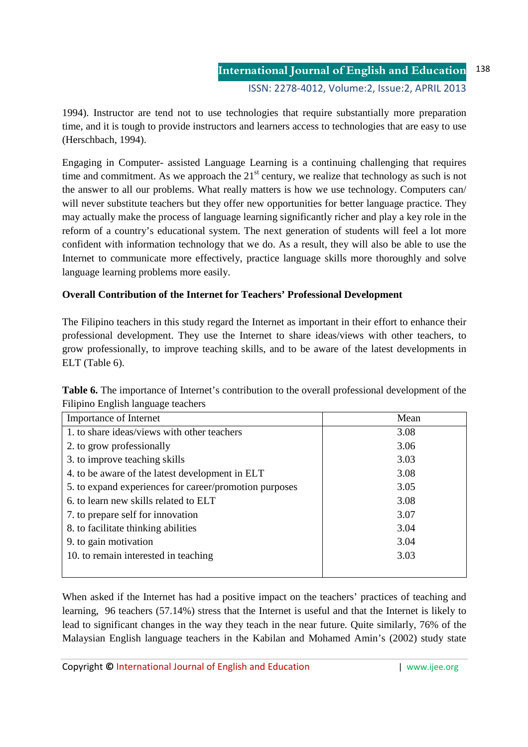1994). Instructor are tend not to use technologies that require substantially more preparation time, and it is tough to provide instructors and learners access to technologies that are easy to use (Herschbach, 1994).

Engaging in Computer- assisted Language Learning is a continuing challenging that requires time and commitment. As we approach the  $21<sup>st</sup>$  century, we realize that technology as such is not the answer to all our problems. What really matters is how we use technology. Computers can/ will never substitute teachers but they offer new opportunities for better language practice. They may actually make the process of language learning significantly richer and play a key role in the reform of a country's educational system. The next generation of students will feel a lot more confident with information technology that we do. As a result, they will also be able to use the Internet to communicate more effectively, practice language skills more thoroughly and solve language learning problems more easily.

# **Overall Contribution of the Internet for Teachers' Professional Development**

The Filipino teachers in this study regard the Internet as important in their effort to enhance their professional development. They use the Internet to share ideas/views with other teachers, to grow professionally, to improve teaching skills, and to be aware of the latest developments in ELT (Table 6).

| <b>Table 6.</b> The importance of Internet's contribution to the overall professional development of the |  |
|----------------------------------------------------------------------------------------------------------|--|
| Filipino English language teachers                                                                       |  |

| Importance of Internet                                 | Mean |
|--------------------------------------------------------|------|
| 1. to share ideas/views with other teachers            | 3.08 |
| 2. to grow professionally                              | 3.06 |
| 3. to improve teaching skills                          | 3.03 |
| 4. to be aware of the latest development in ELT        | 3.08 |
| 5. to expand experiences for career/promotion purposes | 3.05 |
| 6. to learn new skills related to ELT                  | 3.08 |
| 7. to prepare self for innovation                      | 3.07 |
| 8. to facilitate thinking abilities                    | 3.04 |
| 9. to gain motivation                                  | 3.04 |
| 10. to remain interested in teaching                   | 3.03 |
|                                                        |      |

When asked if the Internet has had a positive impact on the teachers' practices of teaching and learning, 96 teachers (57.14%) stress that the Internet is useful and that the Internet is likely to lead to significant changes in the way they teach in the near future. Quite similarly, 76% of the Malaysian English language teachers in the Kabilan and Mohamed Amin's (2002) study state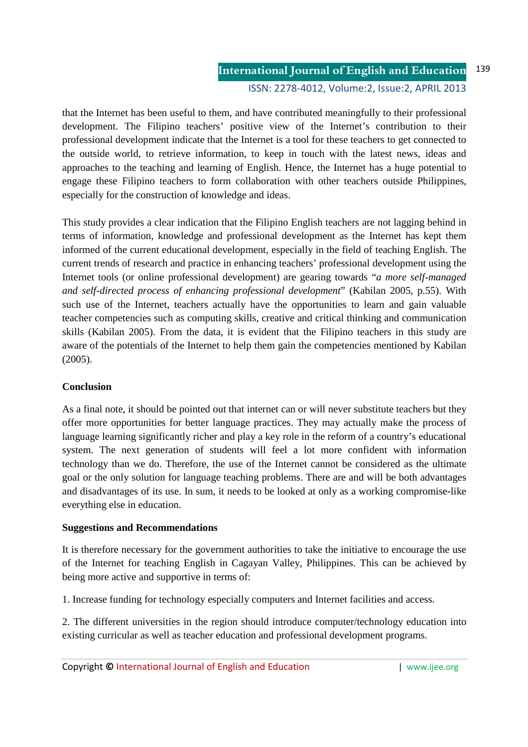### **International Journal of English and Education** ISSN: 2278-4012, Volume:2, Issue:2, APRIL 2013 139

that the Internet has been useful to them, and have contributed meaningfully to their professional development. The Filipino teachers' positive view of the Internet's contribution to their professional development indicate that the Internet is a tool for these teachers to get connected to the outside world, to retrieve information, to keep in touch with the latest news, ideas and approaches to the teaching and learning of English. Hence, the Internet has a huge potential to engage these Filipino teachers to form collaboration with other teachers outside Philippines, especially for the construction of knowledge and ideas.

This study provides a clear indication that the Filipino English teachers are not lagging behind in terms of information, knowledge and professional development as the Internet has kept them informed of the current educational development, especially in the field of teaching English. The current trends of research and practice in enhancing teachers' professional development using the Internet tools (or online professional development) are gearing towards "*a more self-managed and self-directed process of enhancing professional development*" (Kabilan 2005, p.55). With such use of the Internet, teachers actually have the opportunities to learn and gain valuable teacher competencies such as computing skills, creative and critical thinking and communication skills (Kabilan 2005). From the data, it is evident that the Filipino teachers in this study are aware of the potentials of the Internet to help them gain the competencies mentioned by Kabilan (2005).

# **Conclusion**

As a final note, it should be pointed out that internet can or will never substitute teachers but they offer more opportunities for better language practices. They may actually make the process of language learning significantly richer and play a key role in the reform of a country's educational system. The next generation of students will feel a lot more confident with information technology than we do. Therefore, the use of the Internet cannot be considered as the ultimate goal or the only solution for language teaching problems. There are and will be both advantages and disadvantages of its use. In sum, it needs to be looked at only as a working compromise-like everything else in education.

# **Suggestions and Recommendations**

It is therefore necessary for the government authorities to take the initiative to encourage the use of the Internet for teaching English in Cagayan Valley, Philippines. This can be achieved by being more active and supportive in terms of:

1. Increase funding for technology especially computers and Internet facilities and access.

2. The different universities in the region should introduce computer/technology education into existing curricular as well as teacher education and professional development programs.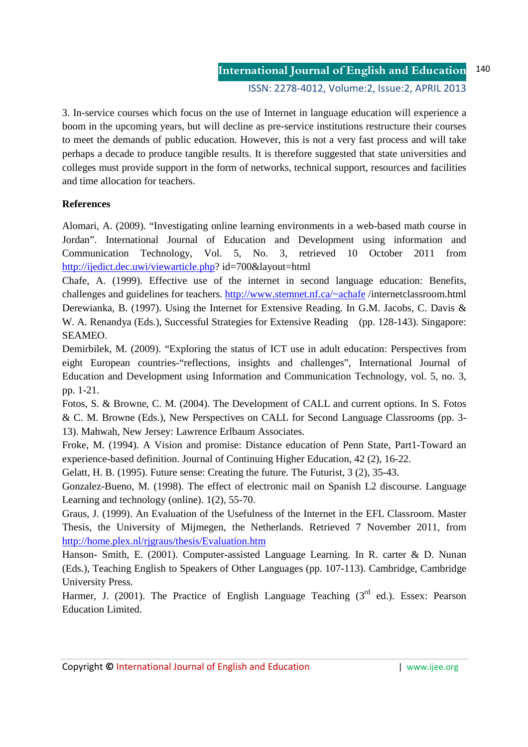3. In-service courses which focus on the use of Internet in language education will experience a boom in the upcoming years, but will decline as pre-service institutions restructure their courses to meet the demands of public education. However, this is not a very fast process and will take perhaps a decade to produce tangible results. It is therefore suggested that state universities and colleges must provide support in the form of networks, technical support, resources and facilities and time allocation for teachers.

## **References**

Alomari, A. (2009). "Investigating online learning environments in a web-based math course in Jordan". International Journal of Education and Development using information and Communication Technology, Vol. 5, No. 3, retrieved 10 October 2011 from http://ijedict.dec.uwi/viewarticle.php? id=700&layout=html

Chafe, A. (1999). Effective use of the internet in second language education: Benefits, challenges and guidelines for teachers. http://www.stemnet.nf.ca/~achafe /internetclassroom.html Derewianka, B. (1997). Using the Internet for Extensive Reading. In G.M. Jacobs, C. Davis & W. A. Renandya (Eds.), Successful Strategies for Extensive Reading (pp. 128-143). Singapore: SEAMEO.

Demirbilek, M. (2009). "Exploring the status of ICT use in adult education: Perspectives from eight European countries-"reflections, insights and challenges", International Journal of Education and Development using Information and Communication Technology, vol. 5, no. 3, pp. 1-21.

Fotos, S. & Browne, C. M. (2004). The Development of CALL and current options. In S. Fotos & C. M. Browne (Eds.), New Perspectives on CALL for Second Language Classrooms (pp. 3- 13). Mahwah, New Jersey: Lawrence Erlbaum Associates.

Froke, M. (1994). A Vision and promise: Distance education of Penn State, Part1-Toward an experience-based definition. Journal of Continuing Higher Education, 42 (2), 16-22.

Gelatt, H. B. (1995). Future sense: Creating the future. The Futurist, 3 (2), 35-43.

Gonzalez-Bueno, M. (1998). The effect of electronic mail on Spanish L2 discourse. Language Learning and technology (online). 1(2), 55-70.

Graus, J. (1999). An Evaluation of the Usefulness of the Internet in the EFL Classroom. Master Thesis, the University of Mijmegen, the Netherlands. Retrieved 7 November 2011, from http://home.plex.nl/rjgraus/thesis/Evaluation.htm

Hanson- Smith, E. (2001). Computer-assisted Language Learning. In R. carter & D. Nunan (Eds.), Teaching English to Speakers of Other Languages (pp. 107-113). Cambridge, Cambridge University Press.

Harmer, J. (2001). The Practice of English Language Teaching  $(3<sup>rd</sup>$  ed.). Essex: Pearson Education Limited.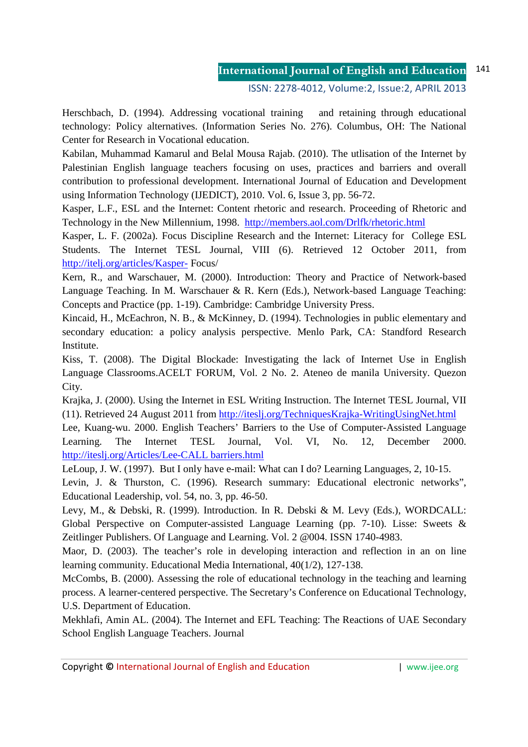ISSN: 2278-4012, Volume:2, Issue:2, APRIL 2013

Herschbach, D. (1994). Addressing vocational training and retaining through educational technology: Policy alternatives. (Information Series No. 276). Columbus, OH: The National Center for Research in Vocational education.

Kabilan, Muhammad Kamarul and Belal Mousa Rajab. (2010). The utlisation of the Internet by Palestinian English language teachers focusing on uses, practices and barriers and overall contribution to professional development. International Journal of Education and Development using Information Technology (IJEDICT), 2010. Vol. 6, Issue 3, pp. 56-72.

Kasper, L.F., ESL and the Internet: Content rhetoric and research. Proceeding of Rhetoric and Technology in the New Millennium, 1998. http://members.aol.com/Drlfk/rhetoric.html

Kasper, L. F. (2002a). Focus Discipline Research and the Internet: Literacy for College ESL Students. The Internet TESL Journal, VIII (6). Retrieved 12 October 2011, from http://itelj.org/articles/Kasper- Focus/

Kern, R., and Warschauer, M. (2000). Introduction: Theory and Practice of Network-based Language Teaching. In M. Warschauer & R. Kern (Eds.), Network-based Language Teaching: Concepts and Practice (pp. 1-19). Cambridge: Cambridge University Press.

Kincaid, H., McEachron, N. B., & McKinney, D. (1994). Technologies in public elementary and secondary education: a policy analysis perspective. Menlo Park, CA: Standford Research Institute.

Kiss, T. (2008). The Digital Blockade: Investigating the lack of Internet Use in English Language Classrooms.ACELT FORUM, Vol. 2 No. 2. Ateneo de manila University. Quezon City.

Krajka, J. (2000). Using the Internet in ESL Writing Instruction. The Internet TESL Journal, VII (11). Retrieved 24 August 2011 from http://iteslj.org/TechniquesKrajka-WritingUsingNet.html

Lee, Kuang-wu. 2000. English Teachers' Barriers to the Use of Computer-Assisted Language Learning. The Internet TESL Journal, Vol. VI, No. 12, December 2000. http://iteslj.org/Articles/Lee-CALL barriers.html

LeLoup, J. W. (1997). But I only have e-mail: What can I do? Learning Languages, 2, 10-15.

Levin, J. & Thurston, C. (1996). Research summary: Educational electronic networks", Educational Leadership, vol. 54, no. 3, pp. 46-50.

Levy, M., & Debski, R. (1999). Introduction. In R. Debski & M. Levy (Eds.), WORDCALL: Global Perspective on Computer-assisted Language Learning (pp. 7-10). Lisse: Sweets & Zeitlinger Publishers. Of Language and Learning. Vol. 2 @004. ISSN 1740-4983.

Maor, D. (2003). The teacher's role in developing interaction and reflection in an on line learning community. Educational Media International, 40(1/2), 127-138.

McCombs, B. (2000). Assessing the role of educational technology in the teaching and learning process. A learner-centered perspective. The Secretary's Conference on Educational Technology, U.S. Department of Education.

Mekhlafi, Amin AL. (2004). The Internet and EFL Teaching: The Reactions of UAE Secondary School English Language Teachers. Journal